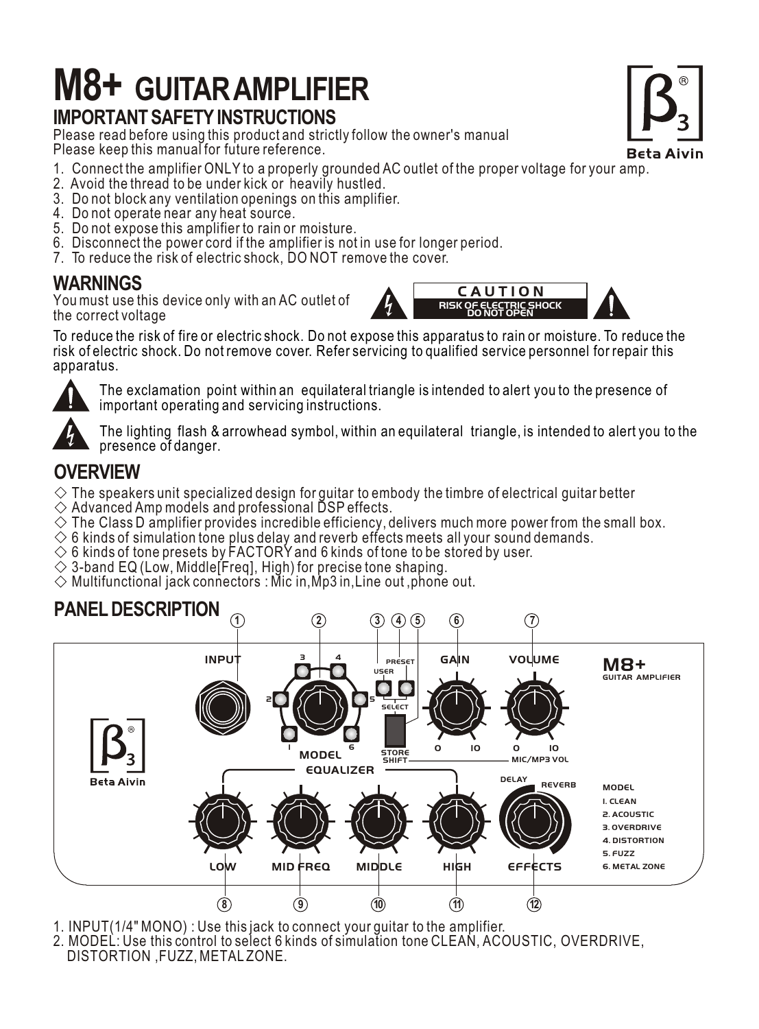# **M8+ GUITAR AMPLIFIER**

# **IMPORTANT SAFETY INSTRUCTIONS**

Please read before using this product and strictly follow the owner's manual Please keep this manual for future reference.

- 1. Connect the amplifier ONLY to a properly grounded AC outlet of the proper voltage for your amp.
- 2. Avoid the thread to be under kick or heavily hustled.
- 3. Do not block any ventilation openings on this amplifier.
- 4. Do not operate near any heat source.
- 5. Do not expose this amplifier to rain or moisture.
- 6. Disconnect the power cord if the amplifier is not in use for longer period.
- 7. To reduce the risk of electric shock, DO NOT remove the cover.

**WARNINGS**<br>You must use this device only with an AC outlet of **CAUTION** the correct voltage





The exclamation point within an equilateral triangle is intended to alert you to the presence of important operating and servicing instructions.



The lighting flash & arrowhead symbol, within an equilateral triangle, is intended to alert you to the presence of danger.

# **OVERVIEW**

- $\Diamond$  The speakers unit specialized design for quitar to embody the timbre of electrical quitar better
- $\diamondsuit$  Advanced Amp models and professional DSP effects.
- $\Diamond$  The Class D amplifier provides incredible efficiency, delivers much more power from the small box.
- $\Diamond$  6 kinds of simulation tone plus delay and reverb effects meets all your sound demands.
- $\Diamond$  6 kinds of tone presets by FACTORY and 6 kinds of tone to be stored by user.
- $\Diamond$  3-band EQ (Low, Middle Freq), High) for precise tone shaping.
- $\Diamond$  Multifunctional jack connectors : Mic in, Mp3 in, Line out , phone out.

# **PANEL DESCRIPTION**



1. INPUT(1/4" MONO) : Use this jack to connect your guitar to the amplifier.

2. MODEL: Use this control to select 6 kinds of simulation tone CLEAN, ACOUSTIC, OVERDRIVE, DISTORTION ,FUZZ, METAL ZONE.